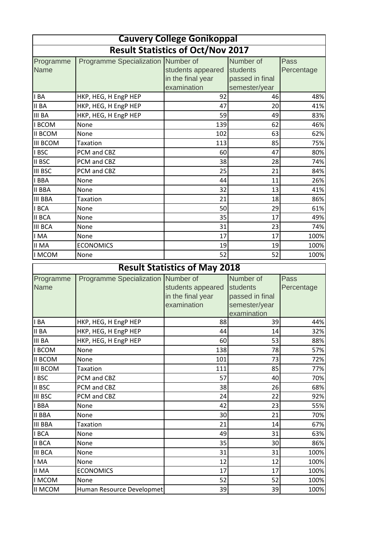| <b>Cauvery College Gonikoppal</b>        |                                    |                   |                 |              |
|------------------------------------------|------------------------------------|-------------------|-----------------|--------------|
| <b>Result Statistics of Oct/Nov 2017</b> |                                    |                   |                 |              |
| Programme                                | Programme Specialization Number of |                   | Number of       | <b>Pass</b>  |
| <b>Name</b>                              |                                    | students appeared | students        | Percentage   |
|                                          |                                    | in the final year | passed in final |              |
|                                          |                                    | examination       | semester/year   |              |
| IBA                                      | HKP, HEG, H EngP HEP               | 92                | 46              | 48%          |
| II BA                                    | HKP, HEG, H EngP HEP               | 47                | 20              | 41%          |
| <b>III BA</b>                            | HKP, HEG, H EngP HEP               | 59                | 49              | 83%          |
| I BCOM                                   | None                               | 139               | 62              | 46%          |
| II BCOM                                  | None                               | 102               | 63              | 62%          |
| <b>III BCOM</b>                          | Taxation                           | 113               | 85              | 75%          |
| I BSC                                    | PCM and CBZ                        | 60                | 47              | 80%          |
| <b>II BSC</b>                            | PCM and CBZ                        | 38                | 28              | 74%          |
| <b>III BSC</b>                           | PCM and CBZ                        | 25                | 21              | 84%          |
| I BBA                                    | None                               | 44                | 11              | 26%          |
| <b>II BBA</b>                            | None                               | 32                | 13              | 41%          |
| <b>III BBA</b>                           | <b>Taxation</b>                    | 21                | 18              | 86%          |
| <b>IBCA</b>                              | None                               | 50                | 29              | 61%          |
| <b>II BCA</b>                            | None                               | 35                | 17              | 49%          |
| <b>III BCA</b>                           | None                               | 31                | 23              | 74%          |
| I MA                                     | None                               | 17                | 17              | 100%         |
| <b>II MA</b>                             | <b>ECONOMICS</b>                   | 19                | 19              | 100%         |
| <b>I MCOM</b>                            | None                               | 52                | 52              | 100%         |
| <b>Result Statistics of May 2018</b>     |                                    |                   |                 |              |
|                                          |                                    |                   |                 |              |
|                                          | Programme Specialization Number of |                   | Number of       | <b>Pass</b>  |
| Programme<br><b>Name</b>                 |                                    | students appeared | students        | Percentage   |
|                                          |                                    | in the final year | passed in final |              |
|                                          |                                    | examination       | semester/year   |              |
|                                          |                                    |                   | examination     |              |
| I BA                                     | HKP, HEG, H EngP HEP               | 88                | 39              | 44%          |
| <b>II BA</b>                             | HKP, HEG, H EngP HEP               | 44                | 14              | 32%          |
| III BA                                   | HKP, HEG, H EngP HEP               | 60                | 53              | 88%          |
| I BCOM                                   | None                               | 138               | 78              | 57%          |
| <b>II BCOM</b>                           | None                               | 101               | 73              | 72%          |
| III BCOM                                 | Taxation                           | 111               | 85              | 77%          |
| I BSC                                    | PCM and CBZ                        | 57                | 40              | 70%          |
| II BSC                                   | PCM and CBZ                        | 38                | 26              | 68%          |
| III BSC                                  | PCM and CBZ                        | 24                | 22              | 92%          |
| I BBA                                    | None                               | 42                | 23              | 55%          |
| <b>II BBA</b>                            | None                               | 30                | 21              | 70%          |
| <b>III BBA</b>                           | <b>Taxation</b>                    | 21                | 14              | 67%          |
| I BCA                                    | None                               | 49                | 31              | 63%          |
| <b>II BCA</b>                            | None                               | 35                | 30              | 86%          |
| <b>III BCA</b>                           | None                               | 31                | 31              | 100%         |
| I MA                                     | None                               | 12                | 12              | 100%         |
| <b>II MA</b>                             | <b>ECONOMICS</b>                   | 17                | 17              | 100%         |
| <b>IMCOM</b><br><b>II MCOM</b>           | None<br>Human Resource Developmet  | 52<br>39          | 52<br>39        | 100%<br>100% |